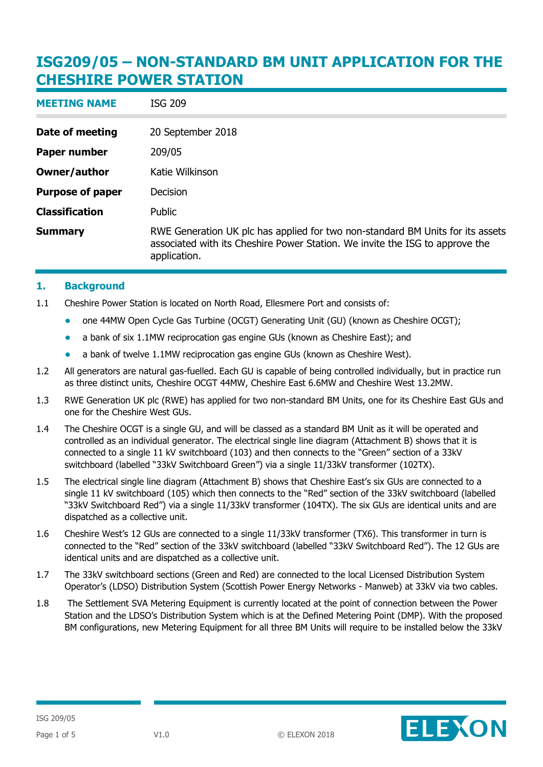| <b>MEETING NAME</b>     | ISG 209                                                                                                                                                                        |
|-------------------------|--------------------------------------------------------------------------------------------------------------------------------------------------------------------------------|
| Date of meeting         | 20 September 2018                                                                                                                                                              |
| <b>Paper number</b>     | 209/05                                                                                                                                                                         |
| <b>Owner/author</b>     | Katie Wilkinson                                                                                                                                                                |
| <b>Purpose of paper</b> | Decision                                                                                                                                                                       |
| <b>Classification</b>   | Public                                                                                                                                                                         |
| <b>Summary</b>          | RWE Generation UK plc has applied for two non-standard BM Units for its assets<br>associated with its Cheshire Power Station. We invite the ISG to approve the<br>application. |

#### **1. Background**

- 1.1 Cheshire Power Station is located on North Road, Ellesmere Port and consists of:
	- one 44MW Open Cycle Gas Turbine (OCGT) Generating Unit (GU) (known as Cheshire OCGT);
	- a bank of six 1.1MW reciprocation gas engine GUs (known as Cheshire East); and
	- a bank of twelve 1.1MW reciprocation gas engine GUs (known as Cheshire West).
- 1.2 All generators are natural gas-fuelled. Each GU is capable of being controlled individually, but in practice run as three distinct units, Cheshire OCGT 44MW, Cheshire East 6.6MW and Cheshire West 13.2MW.
- 1.3 RWE Generation UK plc (RWE) has applied for two non-standard BM Units, one for its Cheshire East GUs and one for the Cheshire West GUs.
- 1.4 The Cheshire OCGT is a single GU, and will be classed as a standard BM Unit as it will be operated and controlled as an individual generator. The electrical single line diagram (Attachment B) shows that it is connected to a single 11 kV switchboard (103) and then connects to the "Green" section of a 33kV switchboard (labelled "33kV Switchboard Green") via a single 11/33kV transformer (102TX).
- 1.5 The electrical single line diagram (Attachment B) shows that Cheshire East's six GUs are connected to a single 11 kV switchboard (105) which then connects to the "Red" section of the 33kV switchboard (labelled "33kV Switchboard Red") via a single 11/33kV transformer (104TX). The six GUs are identical units and are dispatched as a collective unit.
- 1.6 Cheshire West's 12 GUs are connected to a single 11/33kV transformer (TX6). This transformer in turn is connected to the "Red" section of the 33kV switchboard (labelled "33kV Switchboard Red"). The 12 GUs are identical units and are dispatched as a collective unit.
- 1.7 The 33kV switchboard sections (Green and Red) are connected to the local Licensed Distribution System Operator's (LDSO) Distribution System (Scottish Power Energy Networks - Manweb) at 33kV via two cables.
- 1.8 The Settlement SVA Metering Equipment is currently located at the point of connection between the Power Station and the LDSO's Distribution System which is at the Defined Metering Point (DMP). With the proposed BM configurations, new Metering Equipment for all three BM Units will require to be installed below the 33kV

ELEXON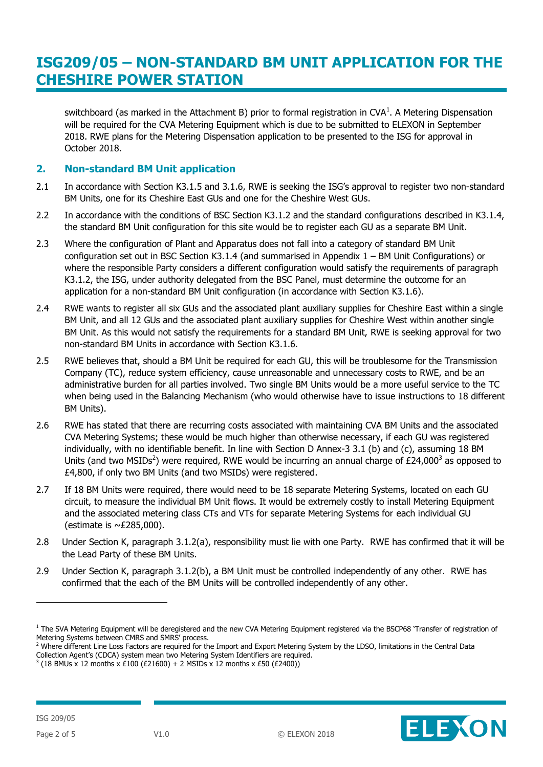switchboard (as marked in the Attachment B) prior to formal registration in CVA<sup>1</sup>. A Metering Dispensation will be required for the CVA Metering Equipment which is due to be submitted to ELEXON in September 2018. RWE plans for the Metering Dispensation application to be presented to the ISG for approval in October 2018.

#### **2. Non-standard BM Unit application**

- 2.1 In accordance with Section K3.1.5 and 3.1.6, RWE is seeking the ISG's approval to register two non-standard BM Units, one for its Cheshire East GUs and one for the Cheshire West GUs.
- 2.2 In accordance with the conditions of BSC Section K3.1.2 and the standard configurations described in K3.1.4, the standard BM Unit configuration for this site would be to register each GU as a separate BM Unit.
- 2.3 Where the configuration of Plant and Apparatus does not fall into a category of standard BM Unit configuration set out in BSC Section K3.1.4 (and summarised in Appendix 1 – BM Unit Configurations) or where the responsible Party considers a different configuration would satisfy the requirements of paragraph K3.1.2, the ISG, under authority delegated from the BSC Panel, must determine the outcome for an application for a non-standard BM Unit configuration (in accordance with Section K3.1.6).
- 2.4 RWE wants to register all six GUs and the associated plant auxiliary supplies for Cheshire East within a single BM Unit, and all 12 GUs and the associated plant auxiliary supplies for Cheshire West within another single BM Unit. As this would not satisfy the requirements for a standard BM Unit, RWE is seeking approval for two non-standard BM Units in accordance with Section K3.1.6.
- 2.5 RWE believes that, should a BM Unit be required for each GU, this will be troublesome for the Transmission Company (TC), reduce system efficiency, cause unreasonable and unnecessary costs to RWE, and be an administrative burden for all parties involved. Two single BM Units would be a more useful service to the TC when being used in the Balancing Mechanism (who would otherwise have to issue instructions to 18 different BM Units).
- 2.6 RWE has stated that there are recurring costs associated with maintaining CVA BM Units and the associated CVA Metering Systems; these would be much higher than otherwise necessary, if each GU was registered individually, with no identifiable benefit. In line with Section D Annex-3 3.1 (b) and (c), assuming 18 BM Units (and two MSIDs<sup>2</sup>) were required, RWE would be incurring an annual charge of £24,000<sup>3</sup> as opposed to £4,800, if only two BM Units (and two MSIDs) were registered.
- 2.7 If 18 BM Units were required, there would need to be 18 separate Metering Systems, located on each GU circuit, to measure the individual BM Unit flows. It would be extremely costly to install Metering Equipment and the associated metering class CTs and VTs for separate Metering Systems for each individual GU (estimate is  $\sim$ £285,000).
- 2.8 Under Section K, paragraph 3.1.2(a), responsibility must lie with one Party. RWE has confirmed that it will be the Lead Party of these BM Units.
- 2.9 Under Section K, paragraph 3.1.2(b), a BM Unit must be controlled independently of any other. RWE has confirmed that the each of the BM Units will be controlled independently of any other.

ELEXON

-

<sup>&</sup>lt;sup>1</sup> The SVA Metering Equipment will be deregistered and the new CVA Metering Equipment registered via the BSCP68 'Transfer of registration of Metering Systems between CMRS and SMRS' process.

<sup>&</sup>lt;sup>2</sup> Where different Line Loss Factors are required for the Import and Export Metering System by the LDSO, limitations in the Central Data

Collection Agent's (CDCA) system mean two Metering System Identifiers are required.

 $3$  (18 BMUs x 12 months x £100 (£21600) + 2 MSIDs x 12 months x £50 (£2400))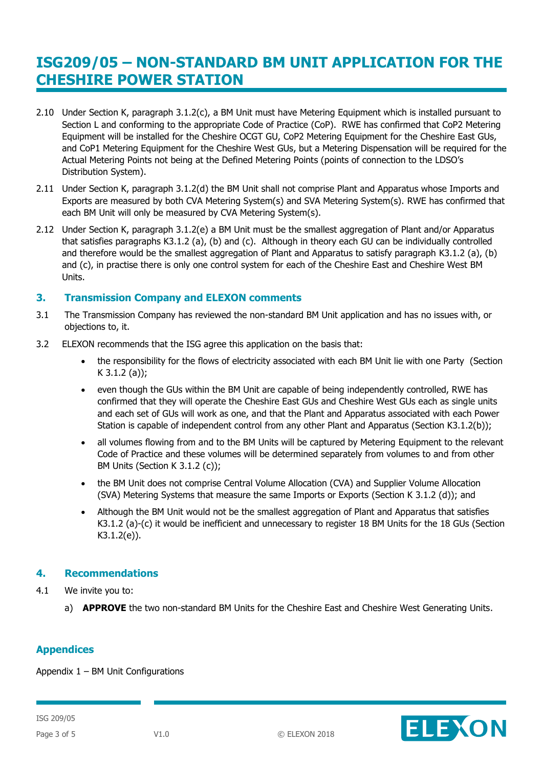- 2.10 Under Section K, paragraph 3.1.2(c), a BM Unit must have Metering Equipment which is installed pursuant to Section L and conforming to the appropriate Code of Practice (CoP). RWE has confirmed that CoP2 Metering Equipment will be installed for the Cheshire OCGT GU, CoP2 Metering Equipment for the Cheshire East GUs, and CoP1 Metering Equipment for the Cheshire West GUs, but a Metering Dispensation will be required for the Actual Metering Points not being at the Defined Metering Points (points of connection to the LDSO's Distribution System).
- 2.11 Under Section K, paragraph 3.1.2(d) the BM Unit shall not comprise Plant and Apparatus whose Imports and Exports are measured by both CVA Metering System(s) and SVA Metering System(s). RWE has confirmed that each BM Unit will only be measured by CVA Metering System(s).
- 2.12 Under Section K, paragraph 3.1.2(e) a BM Unit must be the smallest aggregation of Plant and/or Apparatus that satisfies paragraphs K3.1.2 (a), (b) and (c). Although in theory each GU can be individually controlled and therefore would be the smallest aggregation of Plant and Apparatus to satisfy paragraph K3.1.2 (a), (b) and (c), in practise there is only one control system for each of the Cheshire East and Cheshire West BM Units.

#### **3. Transmission Company and ELEXON comments**

- 3.1 The Transmission Company has reviewed the non-standard BM Unit application and has no issues with, or objections to, it.
- 3.2 ELEXON recommends that the ISG agree this application on the basis that:
	- the responsibility for the flows of electricity associated with each BM Unit lie with one Party (Section K 3.1.2 (a));
	- even though the GUs within the BM Unit are capable of being independently controlled, RWE has confirmed that they will operate the Cheshire East GUs and Cheshire West GUs each as single units and each set of GUs will work as one, and that the Plant and Apparatus associated with each Power Station is capable of independent control from any other Plant and Apparatus (Section K3.1.2(b));
	- all volumes flowing from and to the BM Units will be captured by Metering Equipment to the relevant Code of Practice and these volumes will be determined separately from volumes to and from other BM Units (Section K 3.1.2 (c));
	- the BM Unit does not comprise Central Volume Allocation (CVA) and Supplier Volume Allocation (SVA) Metering Systems that measure the same Imports or Exports (Section K 3.1.2 (d)); and
	- Although the BM Unit would not be the smallest aggregation of Plant and Apparatus that satisfies K3.1.2 (a)-(c) it would be inefficient and unnecessary to register 18 BM Units for the 18 GUs (Section K3.1.2(e)).

### **4. Recommendations**

- 4.1 We invite you to:
	- a) **APPROVE** the two non-standard BM Units for the Cheshire East and Cheshire West Generating Units.

### **Appendices**

Appendix  $1 - BM$  Unit Configurations

ISG 209/05

ELEXON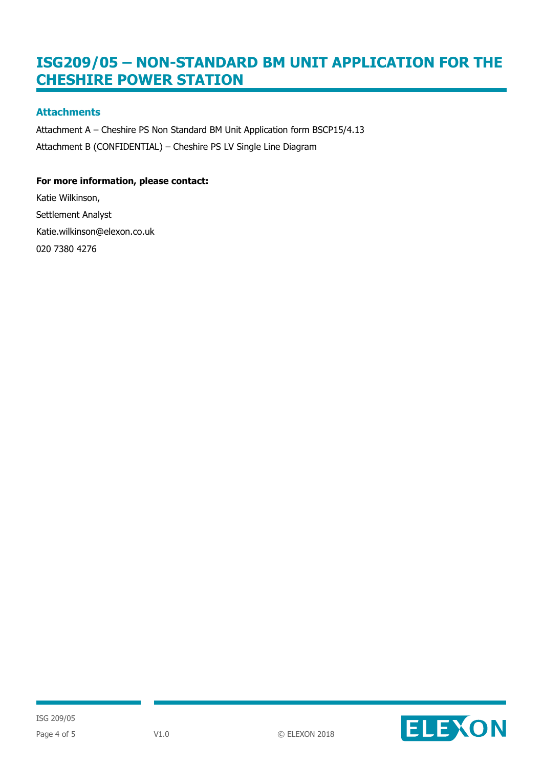### **Attachments**

Attachment A – Cheshire PS Non Standard BM Unit Application form BSCP15/4.13 Attachment B (CONFIDENTIAL) – Cheshire PS LV Single Line Diagram

#### **For more information, please contact:**

Katie Wilkinson, Settlement Analyst Katie.wilkinson@elexon.co.uk 020 7380 4276



ISG 209/05